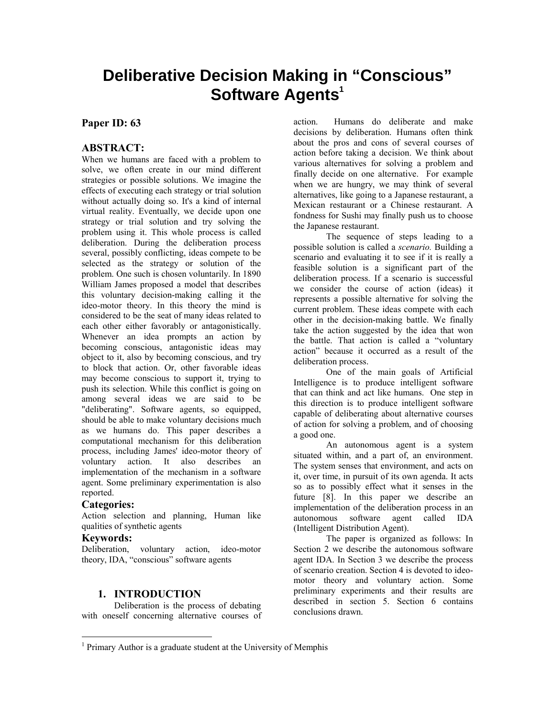# **Deliberative Decision Making in "Conscious" Software Agents<sup>1</sup>**

**Paper ID: 63** 

# **ABSTRACT:**

When we humans are faced with a problem to solve, we often create in our mind different strategies or possible solutions. We imagine the effects of executing each strategy or trial solution without actually doing so. It's a kind of internal virtual reality. Eventually, we decide upon one strategy or trial solution and try solving the problem using it. This whole process is called deliberation. During the deliberation process several, possibly conflicting, ideas compete to be selected as the strategy or solution of the problem. One such is chosen voluntarily. In 1890 William James proposed a model that describes this voluntary decision-making calling it the ideo-motor theory. In this theory the mind is considered to be the seat of many ideas related to each other either favorably or antagonistically. Whenever an idea prompts an action by becoming conscious, antagonistic ideas may object to it, also by becoming conscious, and try to block that action. Or, other favorable ideas may become conscious to support it, trying to push its selection. While this conflict is going on among several ideas we are said to be "deliberating". Software agents, so equipped, should be able to make voluntary decisions much as we humans do. This paper describes a computational mechanism for this deliberation process, including James' ideo-motor theory of voluntary action. It also describes an implementation of the mechanism in a software agent. Some preliminary experimentation is also reported.

## **Categories:**

Action selection and planning, Human like qualities of synthetic agents

## **Keywords:**

 $\overline{a}$ 

Deliberation, voluntary action, ideo-motor theory, IDA, "conscious" software agents

# **1. INTRODUCTION**

Deliberation is the process of debating with oneself concerning alternative courses of action. Humans do deliberate and make decisions by deliberation. Humans often think about the pros and cons of several courses of action before taking a decision. We think about various alternatives for solving a problem and finally decide on one alternative. For example when we are hungry, we may think of several alternatives, like going to a Japanese restaurant, a Mexican restaurant or a Chinese restaurant. A fondness for Sushi may finally push us to choose the Japanese restaurant.

 The sequence of steps leading to a possible solution is called a *scenario.* Building a scenario and evaluating it to see if it is really a feasible solution is a significant part of the deliberation process. If a scenario is successful we consider the course of action (ideas) it represents a possible alternative for solving the current problem. These ideas compete with each other in the decision-making battle. We finally take the action suggested by the idea that won the battle. That action is called a "voluntary" action" because it occurred as a result of the deliberation process.

 One of the main goals of Artificial Intelligence is to produce intelligent software that can think and act like humans. One step in this direction is to produce intelligent software capable of deliberating about alternative courses of action for solving a problem, and of choosing a good one.

 An autonomous agent is a system situated within, and a part of, an environment. The system senses that environment, and acts on it, over time, in pursuit of its own agenda. It acts so as to possibly effect what it senses in the future [8]. In this paper we describe an implementation of the deliberation process in an autonomous software agent called IDA (Intelligent Distribution Agent).

 The paper is organized as follows: In Section 2 we describe the autonomous software agent IDA. In Section 3 we describe the process of scenario creation. Section 4 is devoted to ideomotor theory and voluntary action. Some preliminary experiments and their results are described in section 5. Section 6 contains conclusions drawn.

<sup>&</sup>lt;sup>1</sup> Primary Author is a graduate student at the University of Memphis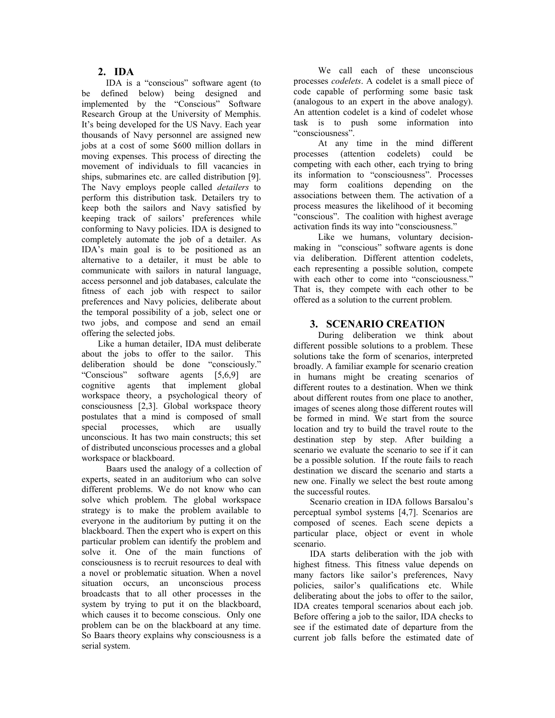# **2. IDA**

IDA is a "conscious" software agent (to be defined below) being designed and implemented by the "Conscious" Software Research Group at the University of Memphis. It's being developed for the US Navy. Each year thousands of Navy personnel are assigned new jobs at a cost of some \$600 million dollars in moving expenses. This process of directing the movement of individuals to fill vacancies in ships, submarines etc. are called distribution [9]. The Navy employs people called *detailers* to perform this distribution task. Detailers try to keep both the sailors and Navy satisfied by keeping track of sailors' preferences while conforming to Navy policies. IDA is designed to completely automate the job of a detailer. As IDA's main goal is to be positioned as an alternative to a detailer, it must be able to communicate with sailors in natural language, access personnel and job databases, calculate the fitness of each job with respect to sailor preferences and Navy policies, deliberate about the temporal possibility of a job, select one or two jobs, and compose and send an email offering the selected jobs.

Like a human detailer, IDA must deliberate about the jobs to offer to the sailor. This deliberation should be done "consciously."<br>
"Conscious" software agents  $[5,6,9]$  are software agents  $[5,6,9]$  are cognitive agents that implement global workspace theory, a psychological theory of consciousness [2,3]. Global workspace theory postulates that a mind is composed of small special processes, which are usually unconscious. It has two main constructs; this set of distributed unconscious processes and a global workspace or blackboard.

Baars used the analogy of a collection of experts, seated in an auditorium who can solve different problems. We do not know who can solve which problem. The global workspace strategy is to make the problem available to everyone in the auditorium by putting it on the blackboard. Then the expert who is expert on this particular problem can identify the problem and solve it. One of the main functions of consciousness is to recruit resources to deal with a novel or problematic situation. When a novel situation occurs, an unconscious process broadcasts that to all other processes in the system by trying to put it on the blackboard, which causes it to become conscious. Only one problem can be on the blackboard at any time. So Baars theory explains why consciousness is a serial system.

We call each of these unconscious processes *codelets*. A codelet is a small piece of code capable of performing some basic task (analogous to an expert in the above analogy). An attention codelet is a kind of codelet whose task is to push some information into "consciousness".

At any time in the mind different processes (attention codelets) could be competing with each other, each trying to bring its information to "consciousness". Processes may form coalitions depending on the associations between them. The activation of a process measures the likelihood of it becoming "conscious". The coalition with highest average activation finds its way into "consciousness."

Like we humans, voluntary decisionmaking in "conscious" software agents is done via deliberation. Different attention codelets, each representing a possible solution, compete with each other to come into "consciousness." That is, they compete with each other to be offered as a solution to the current problem.

# **3. SCENARIO CREATION**

During deliberation we think about different possible solutions to a problem. These solutions take the form of scenarios, interpreted broadly. A familiar example for scenario creation in humans might be creating scenarios of different routes to a destination. When we think about different routes from one place to another, images of scenes along those different routes will be formed in mind. We start from the source location and try to build the travel route to the destination step by step. After building a scenario we evaluate the scenario to see if it can be a possible solution. If the route fails to reach destination we discard the scenario and starts a new one. Finally we select the best route among the successful routes.

Scenario creation in IDA follows Barsalou's perceptual symbol systems [4,7]. Scenarios are composed of scenes. Each scene depicts a particular place, object or event in whole scenario.

IDA starts deliberation with the job with highest fitness. This fitness value depends on many factors like sailor's preferences, Navy policies, sailor's qualifications etc. While deliberating about the jobs to offer to the sailor, IDA creates temporal scenarios about each job. Before offering a job to the sailor, IDA checks to see if the estimated date of departure from the current job falls before the estimated date of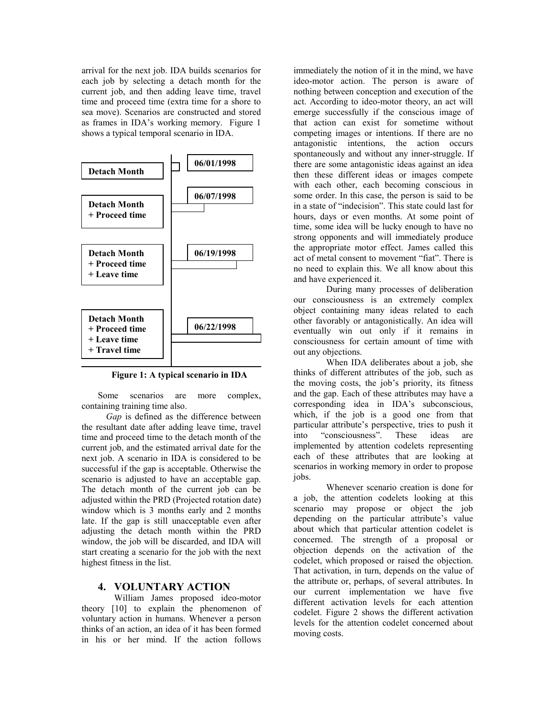arrival for the next job. IDA builds scenarios for each job by selecting a detach month for the current job, and then adding leave time, travel time and proceed time (extra time for a shore to sea move). Scenarios are constructed and stored as frames in IDA's working memory. Figure 1 shows a typical temporal scenario in IDA.



**Figure 1: A typical scenario in IDA** 

Some scenarios are more complex, containing training time also.

*Gap* is defined as the difference between the resultant date after adding leave time, travel time and proceed time to the detach month of the current job, and the estimated arrival date for the next job. A scenario in IDA is considered to be successful if the gap is acceptable. Otherwise the scenario is adjusted to have an acceptable gap. The detach month of the current job can be adjusted within the PRD (Projected rotation date) window which is 3 months early and 2 months late. If the gap is still unacceptable even after adjusting the detach month within the PRD window, the job will be discarded, and IDA will start creating a scenario for the job with the next highest fitness in the list.

## **4. VOLUNTARY ACTION**

William James proposed ideo-motor theory [10] to explain the phenomenon of voluntary action in humans. Whenever a person thinks of an action, an idea of it has been formed in his or her mind. If the action follows

immediately the notion of it in the mind, we have ideo-motor action. The person is aware of nothing between conception and execution of the act. According to ideo-motor theory, an act will emerge successfully if the conscious image of that action can exist for sometime without competing images or intentions. If there are no antagonistic intentions, the action occurs spontaneously and without any inner-struggle. If there are some antagonistic ideas against an idea then these different ideas or images compete with each other, each becoming conscious in some order. In this case, the person is said to be in a state of "indecision". This state could last for hours, days or even months. At some point of time, some idea will be lucky enough to have no strong opponents and will immediately produce the appropriate motor effect. James called this act of metal consent to movement "fiat". There is no need to explain this. We all know about this and have experienced it.

 During many processes of deliberation our consciousness is an extremely complex object containing many ideas related to each other favorably or antagonistically. An idea will eventually win out only if it remains in consciousness for certain amount of time with out any objections.

 When IDA deliberates about a job, she thinks of different attributes of the job, such as the moving costs, the job's priority, its fitness and the gap. Each of these attributes may have a corresponding idea in IDA's subconscious, which, if the job is a good one from that particular attribute's perspective, tries to push it into "consciousness". These ideas are implemented by attention codelets representing each of these attributes that are looking at scenarios in working memory in order to propose jobs.

 Whenever scenario creation is done for a job, the attention codelets looking at this scenario may propose or object the job depending on the particular attribute's value about which that particular attention codelet is concerned. The strength of a proposal or objection depends on the activation of the codelet, which proposed or raised the objection. That activation, in turn, depends on the value of the attribute or, perhaps, of several attributes. In our current implementation we have five different activation levels for each attention codelet. Figure 2 shows the different activation levels for the attention codelet concerned about moving costs.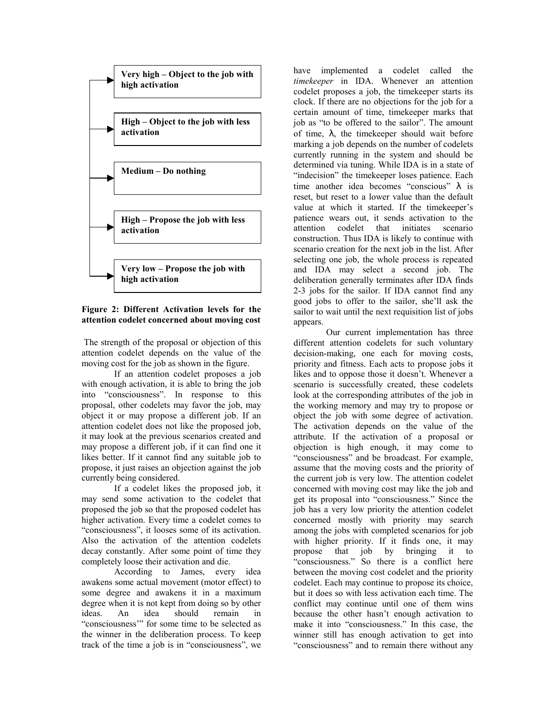

**Figure 2: Different Activation levels for the attention codelet concerned about moving cost** 

 The strength of the proposal or objection of this attention codelet depends on the value of the moving cost for the job as shown in the figure.

 If an attention codelet proposes a job with enough activation, it is able to bring the job into "consciousness". In response to this proposal, other codelets may favor the job, may object it or may propose a different job. If an attention codelet does not like the proposed job, it may look at the previous scenarios created and may propose a different job, if it can find one it likes better. If it cannot find any suitable job to propose, it just raises an objection against the job currently being considered.

If a codelet likes the proposed job, it may send some activation to the codelet that proposed the job so that the proposed codelet has higher activation. Every time a codelet comes to "consciousness", it looses some of its activation. Also the activation of the attention codelets decay constantly. After some point of time they completely loose their activation and die.

According to James, every idea awakens some actual movement (motor effect) to some degree and awakens it in a maximum degree when it is not kept from doing so by other ideas. An idea should remain in "consciousness"" for some time to be selected as the winner in the deliberation process. To keep track of the time a job is in "consciousness", we

have implemented a codelet called the *timekeeper* in IDA. Whenever an attention codelet proposes a job, the timekeeper starts its clock. If there are no objections for the job for a certain amount of time, timekeeper marks that job as "to be offered to the sailor". The amount of time,  $\lambda$ , the timekeeper should wait before marking a job depends on the number of codelets currently running in the system and should be determined via tuning. While IDA is in a state of "indecision" the timekeeper loses patience. Each time another idea becomes "conscious"  $\lambda$  is reset, but reset to a lower value than the default value at which it started. If the timekeeper's patience wears out, it sends activation to the attention codelet that initiates scenario construction. Thus IDA is likely to continue with scenario creation for the next job in the list. After selecting one job, the whole process is repeated and IDA may select a second job. The deliberation generally terminates after IDA finds 2-3 jobs for the sailor. If IDA cannot find any good jobs to offer to the sailor, she'll ask the sailor to wait until the next requisition list of jobs appears.

Our current implementation has three different attention codelets for such voluntary decision-making, one each for moving costs, priority and fitness. Each acts to propose jobs it likes and to oppose those it doesn't. Whenever a scenario is successfully created, these codelets look at the corresponding attributes of the job in the working memory and may try to propose or object the job with some degree of activation. The activation depends on the value of the attribute. If the activation of a proposal or objection is high enough, it may come to ìconsciousnessî and be broadcast. For example, assume that the moving costs and the priority of the current job is very low. The attention codelet concerned with moving cost may like the job and get its proposal into "consciousness." Since the job has a very low priority the attention codelet concerned mostly with priority may search among the jobs with completed scenarios for job with higher priority. If it finds one, it may propose that job by bringing it to "consciousness." So there is a conflict here between the moving cost codelet and the priority codelet. Each may continue to propose its choice, but it does so with less activation each time. The conflict may continue until one of them wins because the other hasn't enough activation to make it into "consciousness." In this case, the winner still has enough activation to get into "consciousness" and to remain there without any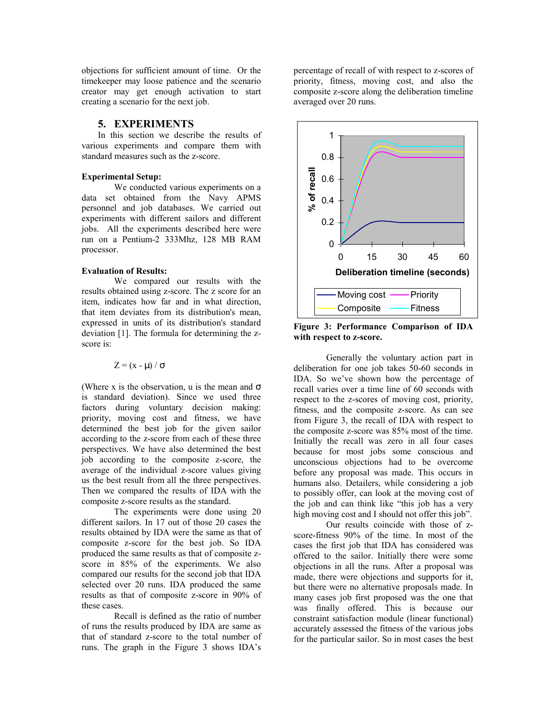objections for sufficient amount of time. Or the timekeeper may loose patience and the scenario creator may get enough activation to start creating a scenario for the next job.

## **5. EXPERIMENTS**

In this section we describe the results of various experiments and compare them with standard measures such as the z-score.

## **Experimental Setup:**

We conducted various experiments on a data set obtained from the Navy APMS personnel and job databases. We carried out experiments with different sailors and different jobs. All the experiments described here were run on a Pentium-2 333Mhz, 128 MB RAM processor.

### **Evaluation of Results:**

We compared our results with the results obtained using z-score. The z score for an item, indicates how far and in what direction, that item deviates from its distribution's mean, expressed in units of its distribution's standard deviation [1]. The formula for determining the zscore is:

### $Z = (x - \mu) / \sigma$

(Where x is the observation, u is the mean and  $\sigma$ is standard deviation). Since we used three factors during voluntary decision making: priority, moving cost and fitness, we have determined the best job for the given sailor according to the z-score from each of these three perspectives. We have also determined the best job according to the composite z-score, the average of the individual z-score values giving us the best result from all the three perspectives. Then we compared the results of IDA with the composite z-score results as the standard.

The experiments were done using 20 different sailors. In 17 out of those 20 cases the results obtained by IDA were the same as that of composite z-score for the best job. So IDA produced the same results as that of composite zscore in 85% of the experiments. We also compared our results for the second job that IDA selected over 20 runs. IDA produced the same results as that of composite z-score in 90% of these cases.

 Recall is defined as the ratio of number of runs the results produced by IDA are same as that of standard z-score to the total number of runs. The graph in the Figure 3 shows IDA's

percentage of recall of with respect to z-scores of priority, fitness, moving cost, and also the composite z-score along the deliberation timeline averaged over 20 runs.



**Figure 3: Performance Comparison of IDA with respect to z-score.** 

 Generally the voluntary action part in deliberation for one job takes 50-60 seconds in IDA. So we've shown how the percentage of recall varies over a time line of 60 seconds with respect to the z-scores of moving cost, priority, fitness, and the composite z-score. As can see from Figure 3, the recall of IDA with respect to the composite z-score was 85% most of the time. Initially the recall was zero in all four cases because for most jobs some conscious and unconscious objections had to be overcome before any proposal was made. This occurs in humans also. Detailers, while considering a job to possibly offer, can look at the moving cost of the job and can think like "this job has a very high moving cost and I should not offer this job".

 Our results coincide with those of zscore-fitness 90% of the time. In most of the cases the first job that IDA has considered was offered to the sailor. Initially there were some objections in all the runs. After a proposal was made, there were objections and supports for it, but there were no alternative proposals made. In many cases job first proposed was the one that was finally offered. This is because our constraint satisfaction module (linear functional) accurately assessed the fitness of the various jobs for the particular sailor. So in most cases the best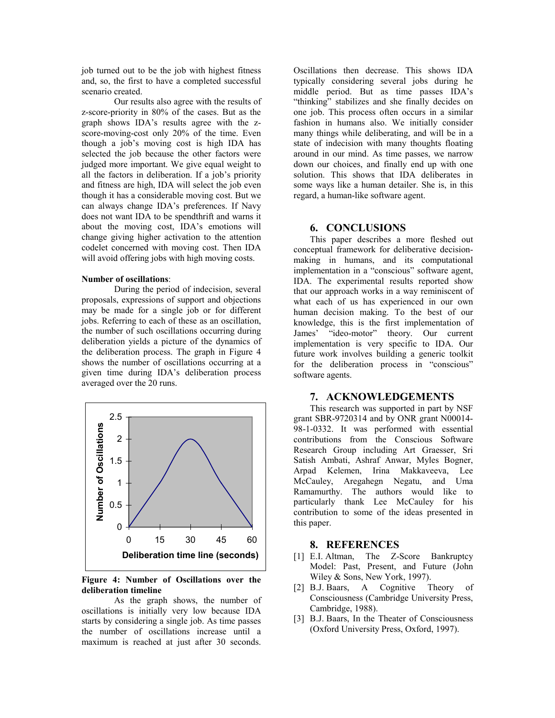job turned out to be the job with highest fitness and, so, the first to have a completed successful scenario created.

Our results also agree with the results of z-score-priority in 80% of the cases. But as the graph shows IDA's results agree with the zscore-moving-cost only 20% of the time. Even though a job's moving cost is high IDA has selected the job because the other factors were judged more important. We give equal weight to all the factors in deliberation. If a job's priority and fitness are high, IDA will select the job even though it has a considerable moving cost. But we can always change IDA's preferences. If Navy does not want IDA to be spendthrift and warns it about the moving cost, IDA's emotions will change giving higher activation to the attention codelet concerned with moving cost. Then IDA will avoid offering jobs with high moving costs.

#### **Number of oscillations**:

 During the period of indecision, several proposals, expressions of support and objections may be made for a single job or for different jobs. Referring to each of these as an oscillation, the number of such oscillations occurring during deliberation yields a picture of the dynamics of the deliberation process. The graph in Figure 4 shows the number of oscillations occurring at a given time during IDA's deliberation process averaged over the 20 runs.



**Figure 4: Number of Oscillations over the deliberation timeline** 

As the graph shows, the number of oscillations is initially very low because IDA starts by considering a single job. As time passes the number of oscillations increase until a maximum is reached at just after 30 seconds.

Oscillations then decrease. This shows IDA typically considering several jobs during he middle period. But as time passes IDA's "thinking" stabilizes and she finally decides on one job. This process often occurs in a similar fashion in humans also. We initially consider many things while deliberating, and will be in a state of indecision with many thoughts floating around in our mind. As time passes, we narrow down our choices, and finally end up with one solution. This shows that IDA deliberates in some ways like a human detailer. She is, in this regard, a human-like software agent.

### **6. CONCLUSIONS**

This paper describes a more fleshed out conceptual framework for deliberative decisionmaking in humans, and its computational implementation in a "conscious" software agent, IDA. The experimental results reported show that our approach works in a way reminiscent of what each of us has experienced in our own human decision making. To the best of our knowledge, this is the first implementation of James' "ideo-motor" theory. Our current implementation is very specific to IDA. Our future work involves building a generic toolkit for the deliberation process in "conscious" software agents.

### **7. ACKNOWLEDGEMENTS**

This research was supported in part by NSF grant SBR-9720314 and by ONR grant N00014- 98-1-0332. It was performed with essential contributions from the Conscious Software Research Group including Art Graesser, Sri Satish Ambati, Ashraf Anwar, Myles Bogner, Arpad Kelemen, Irina Makkaveeva, Lee McCauley, Aregahegn Negatu, and Uma Ramamurthy. The authors would like to particularly thank Lee McCauley for his contribution to some of the ideas presented in this paper.

## **8. REFERENCES**

- [1] E.I. Altman, The Z-Score Bankruptcy Model: Past, Present, and Future (John Wiley & Sons, New York, 1997).
- [2] B.J. Baars, A Cognitive Theory of Consciousness (Cambridge University Press, Cambridge, 1988).
- [3] B.J. Baars, In the Theater of Consciousness (Oxford University Press, Oxford, 1997).